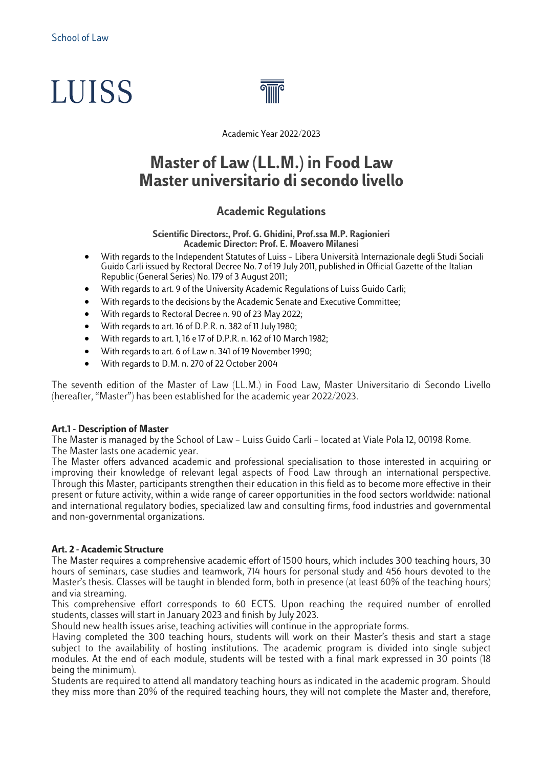# **LUISS**



Academic Year 2022/2023

## **Master of Law (LL.M.) in Food Law Master universitario di secondo livello**

#### **Academic Regulations**

**Scientific Directors:, Prof. G. Ghidini, Prof.ssa M.P. Ragionieri Academic Director: Prof. E. Moavero Milanesi**

- With regards to the Independent Statutes of Luiss Libera Università Internazionale degli Studi Sociali Guido Carli issued by Rectoral Decree No. 7 of 19 July 2011, published in Official Gazette of the Italian Republic (General Series) No. 179 of 3 August 2011;
- With regards to art. 9 of the University Academic Regulations of Luiss Guido Carli;
- With regards to the decisions by the Academic Senate and Executive Committee;
- With regards to Rectoral Decree n. 90 of 23 May 2022;
- With regards to art. 16 of D.P.R. n. 382 of 11 July 1980;
- With regards to art. 1, 16 e 17 of D.P.R. n. 162 of 10 March 1982;
- With regards to art. 6 of Law n. 341 of 19 November 1990;
- With regards to D.M. n. 270 of 22 October 2004

The seventh edition of the Master of Law (LL.M.) in Food Law, Master Universitario di Secondo Livello (hereafter, "Master") has been established for the academic year 2022/2023.

#### **Art.1 - Description of Master**

The Master is managed by the School of Law – Luiss Guido Carli – located at Viale Pola 12, 00198 Rome. The Master lasts one academic year.

The Master offers advanced academic and professional specialisation to those interested in acquiring or improving their knowledge of relevant legal aspects of Food Law through an international perspective. Through this Master, participants strengthen their education in this field as to become more effective in their present or future activity, within a wide range of career opportunities in the food sectors worldwide: national and international regulatory bodies, specialized law and consulting firms, food industries and governmental and non-governmental organizations.

#### **Art. 2 - Academic Structure**

The Master requires a comprehensive academic effort of 1500 hours, which includes 300 teaching hours, 30 hours of seminars, case studies and teamwork, 714 hours for personal study and 456 hours devoted to the Master's thesis. Classes will be taught in blended form, both in presence (at least 60% of the teaching hours) and via streaming.

This comprehensive effort corresponds to 60 ECTS. Upon reaching the required number of enrolled students, classes will start in January 2023 and finish by July 2023.

Should new health issues arise, teaching activities will continue in the appropriate forms.

Having completed the 300 teaching hours, students will work on their Master's thesis and start a stage subject to the availability of hosting institutions. The academic program is divided into single subject modules. At the end of each module, students will be tested with a final mark expressed in 30 points (18 being the minimum).

Students are required to attend all mandatory teaching hours as indicated in the academic program. Should they miss more than 20% of the required teaching hours, they will not complete the Master and, therefore,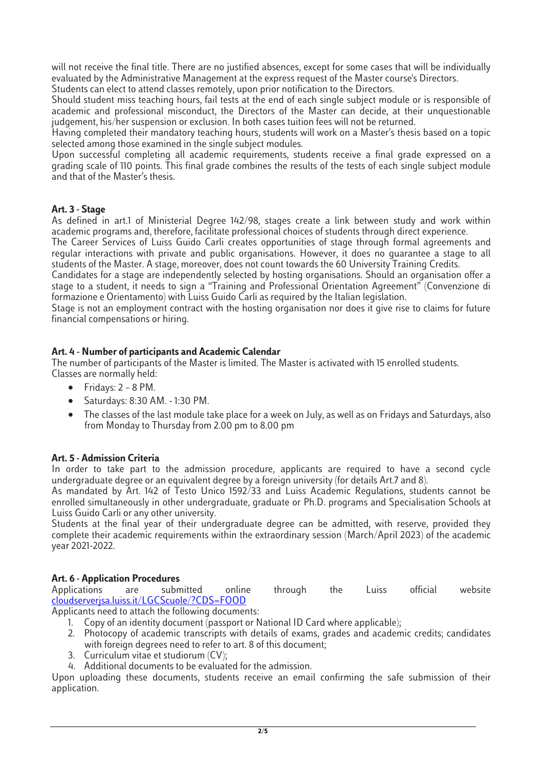will not receive the final title. There are no justified absences, except for some cases that will be individually evaluated by the Administrative Management at the express request of the Master course's Directors. Students can elect to attend classes remotely, upon prior notification to the Directors.

Should student miss teaching hours, fail tests at the end of each single subject module or is responsible of academic and professional misconduct, the Directors of the Master can decide, at their unquestionable judgement, his/her suspension or exclusion. In both cases tuition fees will not be returned.

Having completed their mandatory teaching hours, students will work on a Master's thesis based on a topic selected among those examined in the single subject modules.

Upon successful completing all academic requirements, students receive a final grade expressed on a grading scale of 110 points. This final grade combines the results of the tests of each single subject module and that of the Master's thesis.

#### **Art. 3 - Stage**

As defined in art.1 of Ministerial Degree 142/98, stages create a link between study and work within academic programs and, therefore, facilitate professional choices of students through direct experience.

The Career Services of Luiss Guido Carli creates opportunities of stage through formal agreements and regular interactions with private and public organisations. However, it does no guarantee a stage to all students of the Master. A stage, moreover, does not count towards the 60 University Training Credits.

Candidates for a stage are independently selected by hosting organisations. Should an organisation offer a stage to a student, it needs to sign a "Training and Professional Orientation Agreement" (Convenzione di formazione e Orientamento) with Luiss Guido Carli as required by the Italian legislation.

Stage is not an employment contract with the hosting organisation nor does it give rise to claims for future financial compensations or hiring.

#### **Art. 4 - Number of participants and Academic Calendar**

The number of participants of the Master is limited. The Master is activated with 15 enrolled students. Classes are normally held:

- $\bullet$  Fridays: 2 8 PM.
- Saturdays: 8:30 AM. 1:30 PM.
- The classes of the last module take place for a week on July, as well as on Fridays and Saturdays, also from Monday to Thursday from 2.00 pm to 8.00 pm

#### **Art. 5 - Admission Criteria**

In order to take part to the admission procedure, applicants are required to have a second cycle undergraduate degree or an equivalent degree by a foreign university (for details Art.7 and 8).

As mandated by Art. 142 of Testo Unico 1592/33 and Luiss Academic Regulations, students cannot be enrolled simultaneously in other undergraduate, graduate or Ph.D. programs and Specialisation Schools at Luiss Guido Carli or any other university.

Students at the final year of their undergraduate degree can be admitted, with reserve, provided they complete their academic requirements within the extraordinary session (March/April 2023) of the academic year 2021-2022.

**Art. 6 - Application Procedures** Applications are submitted online through the Luiss official website [cloudserverjsa.luiss.it/LGCScuole/?CDS=FOOD](http://cloudserverjsa.luiss.it/LGCScuole/?CDS=FOOD)

Applicants need to attach the following documents:

- 1. Copy of an identity document (passport or National ID Card where applicable);
- 2. Photocopy of academic transcripts with details of exams, grades and academic credits; candidates with foreign degrees need to refer to art. 8 of this document;
- 3. Curriculum vitae et studiorum (CV);
- 4. Additional documents to be evaluated for the admission.

Upon uploading these documents, students receive an email confirming the safe submission of their application.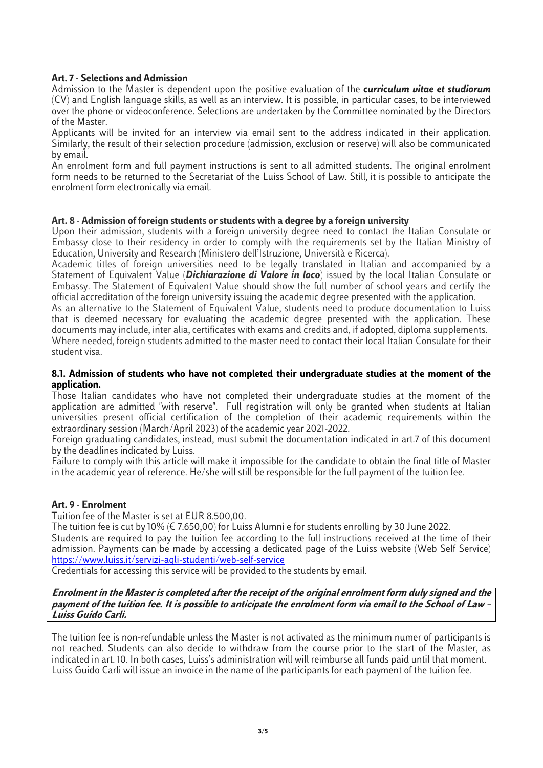#### **Art. 7- Selections and Admission**

Admission to the Master is dependent upon the positive evaluation of the *curriculum vitae et studiorum* (CV) and English language skills, as well as an interview. It is possible, in particular cases, to be interviewed over the phone or videoconference. Selections are undertaken by the Committee nominated by the Directors of the Master.

Applicants will be invited for an interview via email sent to the address indicated in their application. Similarly, the result of their selection procedure (admission, exclusion or reserve) will also be communicated by email.

An enrolment form and full payment instructions is sent to all admitted students. The original enrolment form needs to be returned to the Secretariat of the Luiss School of Law. Still, it is possible to anticipate the enrolment form electronically via email.

#### **Art. 8 - Admission of foreign students or students with a degree by a foreign university**

Upon their admission, students with a foreign university degree need to contact the Italian Consulate or Embassy close to their residency in order to comply with the requirements set by the Italian Ministry of Education, University and Research (Ministero dell'Istruzione, Università e Ricerca).

Academic titles of foreign universities need to be legally translated in Italian and accompanied by a Statement of Equivalent Value (*Dichiarazione di Valore in loco*) issued by the local Italian Consulate or Embassy. The Statement of Equivalent Value should show the full number of school years and certify the official accreditation of the foreign university issuing the academic degree presented with the application.

As an alternative to the Statement of Equivalent Value, students need to produce documentation to Luiss that is deemed necessary for evaluating the academic degree presented with the application. These documents may include, inter alia, certificates with exams and credits and, if adopted, diploma supplements.

Where needed, foreign students admitted to the master need to contact their local Italian Consulate for their student visa.

#### **8.1. Admission of students who have not completed their undergraduate studies at the moment of the application.**

Those Italian candidates who have not completed their undergraduate studies at the moment of the application are admitted "with reserve". Full registration will only be granted when students at Italian universities present official certification of the completion of their academic requirements within the extraordinary session (March/April 2023) of the academic year 2021-2022.

Foreign graduating candidates, instead, must submit the documentation indicated in art.7 of this document by the deadlines indicated by Luiss.

Failure to comply with this article will make it impossible for the candidate to obtain the final title of Master in the academic year of reference. He/she will still be responsible for the full payment of the tuition fee.

#### **Art. 9 - Enrolment**

Tuition fee of the Master is set at EUR 8.500,00.

The tuition fee is cut by 10% (€ 7.650,00) for Luiss Alumni e for students enrolling by 30 June 2022. Students are required to pay the tuition fee according to the full instructions received at the time of their admission. Payments can be made by accessing a dedicated page of the Luiss website (Web Self Service) <https://www.luiss.it/servizi-agli-studenti/web-self-service>

Credentials for accessing this service will be provided to the students by email.

#### **Enrolment in the Master is completed after the receipt of the original enrolment form duly signed and the payment of the tuition fee. It is possible to anticipate the enrolment form via email to the School of Law – Luiss Guido Carli.**

The tuition fee is non-refundable unless the Master is not activated as the minimum numer of participants is not reached. Students can also decide to withdraw from the course prior to the start of the Master, as indicated in art. 10. In both cases, Luiss's administration will will reimburse all funds paid until that moment. Luiss Guido Carli will issue an invoice in the name of the participants for each payment of the tuition fee.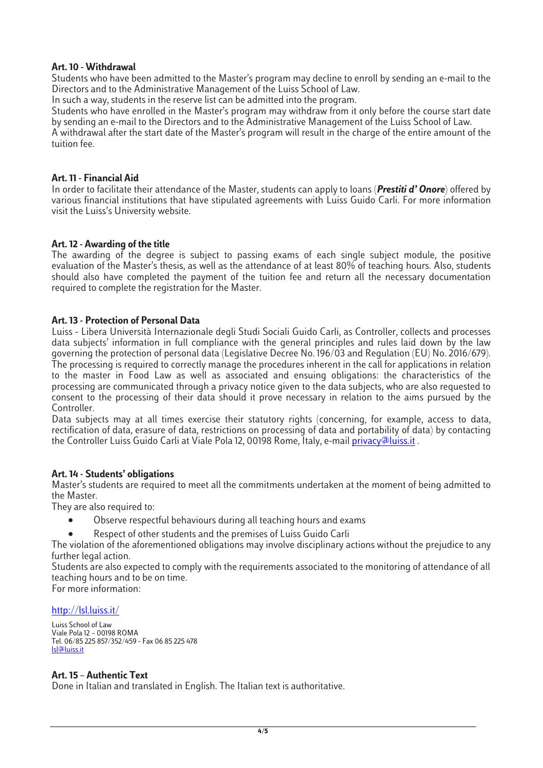#### **Art. 10 - Withdrawal**

Students who have been admitted to the Master's program may decline to enroll by sending an e-mail to the Directors and to the Administrative Management of the Luiss School of Law.

In such a way, students in the reserve list can be admitted into the program.

Students who have enrolled in the Master's program may withdraw from it only before the course start date by sending an e-mail to the Directors and to the Administrative Management of the Luiss School of Law. A withdrawal after the start date of the Master's program will result in the charge of the entire amount of the tuition fee.

#### **Art. 11 - Financial Aid**

In order to facilitate their attendance of the Master, students can apply to loans (*Prestiti d' Onore*) offered by various financial institutions that have stipulated agreements with Luiss Guido Carli. For more information visit the Luiss's University website.

#### **Art. 12 - Awarding of the title**

The awarding of the degree is subject to passing exams of each single subject module, the positive evaluation of the Master's thesis, as well as the attendance of at least 80% of teaching hours. Also, students should also have completed the payment of the tuition fee and return all the necessary documentation required to complete the registration for the Master.

#### **Art. 13 - Protection of Personal Data**

Luiss - Libera Università Internazionale degli Studi Sociali Guido Carli, as Controller, collects and processes data subjects' information in full compliance with the general principles and rules laid down by the law governing the protection of personal data (Legislative Decree No. 196/03 and Regulation (EU) No. 2016/679). The processing is required to correctly manage the procedures inherent in the call for applications in relation to the master in Food Law as well as associated and ensuing obligations: the characteristics of the processing are communicated through a privacy notice given to the data subjects, who are also requested to consent to the processing of their data should it prove necessary in relation to the aims pursued by the Controller.

Data subjects may at all times exercise their statutory rights (concerning, for example, access to data, rectification of data, erasure of data, restrictions on processing of data and portability of data) by contacting the Controller Luiss Guido Carli at Viale Pola 12, 00198 Rome, Italy, e-mail [privacy@luiss.it](mailto:privacy@luiss.it).

#### **Art. 14 - Students' obligations**

Master's students are required to meet all the commitments undertaken at the moment of being admitted to the Master.

They are also required to:

- Observe respectful behaviours during all teaching hours and exams
- Respect of other students and the premises of Luiss Guido Carli

The violation of the aforementioned obligations may involve disciplinary actions without the prejudice to any further legal action.

Students are also expected to comply with the requirements associated to the monitoring of attendance of all teaching hours and to be on time. For more information:

#### <http://lsl.luiss.it/>

Luiss School of Law Viale Pola 12 – 00198 ROMA Tel. 06/85 225 857/352/459 - Fax 06 85 225 478 [lsl@luiss.it](mailto:lsl@luiss.it)

#### **Art. 15 – Authentic Text**

Done in Italian and translated in English. The Italian text is authoritative.